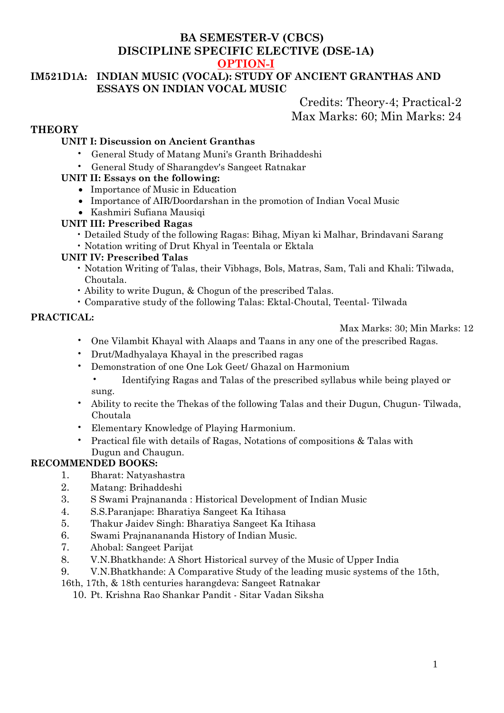# **BA SEMESTER-V (CBCS) DISCIPLINE SPECIFIC ELECTIVE (DSE-1A)**

# **OPTION-I**

# **IM521D1A: INDIAN MUSIC (VOCAL): STUDY OF ANCIENT GRANTHAS AND ESSAYS ON INDIAN VOCAL MUSIC**

Credits: Theory-4; Practical-2 Max Marks: 60; Min Marks: 24

# **THEORY**

# **UNIT I: Discussion on Ancient Granthas**

- General Study of Matang Muni's Granth Brihaddeshi
- General Study of Sharangdev's Sangeet Ratnakar

## **UNIT II: Essays on the following:**

- Importance of Music in Education
- Importance of AIR/Doordarshan in the promotion of Indian Vocal Music
- Kashmiri Sufiana Mausiqi

## **UNIT III: Prescribed Ragas**

- Detailed Study of the following Ragas: Bihag, Miyan ki Malhar, Brindavani Sarang
- Notation writing of Drut Khyal in Teentala or Ektala

## **UNIT IV: Prescribed Talas**

- Notation Writing of Talas, their Vibhags, Bols, Matras, Sam, Tali and Khali: Tilwada, Choutala.
- Ability to write Dugun, & Chogun of the prescribed Talas.
- Comparative study of the following Talas: Ektal-Choutal, Teental- Tilwada

## **PRACTICAL:**

Max Marks: 30; Min Marks: 12

- One Vilambit Khayal with Alaaps and Taans in any one of the prescribed Ragas.
- Drut/Madhyalaya Khayal in the prescribed ragas
- Demonstration of one One Lok Geet/ Ghazal on Harmonium
	- Identifying Ragas and Talas of the prescribed syllabus while being played or sung.
- Ability to recite the Thekas of the following Talas and their Dugun, Chugun- Tilwada, Choutala
- Elementary Knowledge of Playing Harmonium.
- Practical file with details of Ragas, Notations of compositions & Talas with Dugun and Chaugun.

# **RECOMMENDED BOOKS:**

- 1. Bharat: Natyashastra
- 2. Matang: Brihaddeshi
- 3. S Swami Prajnananda : Historical Development of Indian Music
- 4. S.S.Paranjape: Bharatiya Sangeet Ka Itihasa
- 5. Thakur Jaidev Singh: Bharatiya Sangeet Ka Itihasa
- 6. Swami Prajnanananda History of Indian Music.
- 7. Ahobal: Sangeet Parijat
- 8. V.N.Bhatkhande: A Short Historical survey of the Music of Upper India
- 9. V.N.Bhatkhande: A Comparative Study of the leading music systems of the 15th,
- 16th, 17th, & 18th centuries harangdeva: Sangeet Ratnakar

10. Pt. Krishna Rao Shankar Pandit - Sitar Vadan Siksha